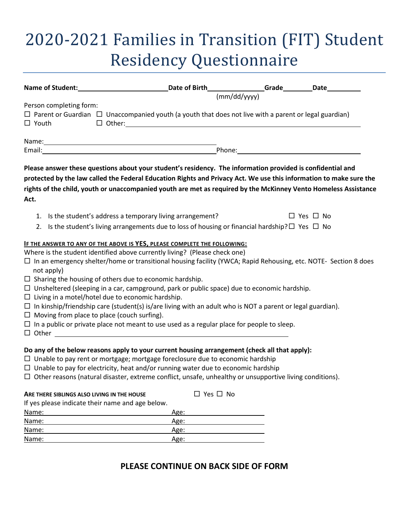# 2020-2021 Families in Transition (FIT) Student Residency Questionnaire

|                                                                | Name of Student: _________________________________Date of Birth________________Grade_________Date____________          |                      |
|----------------------------------------------------------------|------------------------------------------------------------------------------------------------------------------------|----------------------|
|                                                                | (mm/dd/yyyy)                                                                                                           |                      |
| Person completing form:                                        |                                                                                                                        |                      |
|                                                                | $\Box$ Parent or Guardian $\Box$ Unaccompanied youth (a youth that does not live with a parent or legal guardian)      |                      |
| $\Box$ Youth                                                   | $\Box$ $\Box$ $\Box$                                                                                                   |                      |
|                                                                |                                                                                                                        |                      |
|                                                                |                                                                                                                        |                      |
|                                                                |                                                                                                                        |                      |
|                                                                | Please answer these questions about your student's residency. The information provided is confidential and             |                      |
|                                                                | protected by the law called the Federal Education Rights and Privacy Act. We use this information to make sure the     |                      |
|                                                                | rights of the child, youth or unaccompanied youth are met as required by the McKinney Vento Homeless Assistance        |                      |
| Act.                                                           |                                                                                                                        |                      |
| 1. Is the student's address a temporary living arrangement?    |                                                                                                                        | $\Box$ Yes $\Box$ No |
|                                                                | 2. Is the student's living arrangements due to loss of housing or financial hardship? $\square$ Yes $\square$ No       |                      |
|                                                                | IF THE ANSWER TO ANY OF THE ABOVE IS YES, PLEASE COMPLETE THE FOLLOWING:                                               |                      |
|                                                                | Where is the student identified above currently living? (Please check one)                                             |                      |
| not apply)                                                     | $\Box$ In an emergency shelter/home or transitional housing facility (YWCA; Rapid Rehousing, etc. NOTE- Section 8 does |                      |
| $\Box$ Sharing the housing of others due to economic hardship. |                                                                                                                        |                      |
|                                                                | $\Box$ Unsheltered (sleeping in a car, campground, park or public space) due to economic hardship.                     |                      |
| $\Box$ Living in a motel/hotel due to economic hardship.       |                                                                                                                        |                      |
|                                                                | $\Box$ In kinship/friendship care (student(s) is/are living with an adult who is NOT a parent or legal guardian).      |                      |
| $\Box$ Moving from place to place (couch surfing).             |                                                                                                                        |                      |
|                                                                | $\Box$ In a public or private place not meant to use used as a regular place for people to sleep.                      |                      |
|                                                                |                                                                                                                        |                      |
|                                                                | Do any of the below reasons apply to your current housing arrangement (check all that apply):                          |                      |
|                                                                | $\Box$ Unable to pay rent or mortgage; mortgage foreclosure due to economic hardship                                   |                      |
|                                                                | $\Box$ Unable to pay for electricity, heat and/or running water due to economic hardship                               |                      |
|                                                                | $\Box$ Other reasons (natural disaster, extreme conflict, unsafe, unhealthy or unsupportive living conditions).        |                      |
|                                                                |                                                                                                                        |                      |
| ARE THERE SIBLINGS ALSO LIVING IN THE HOUSE                    | $\Box$ Yes $\Box$ No                                                                                                   |                      |
| If yes please indicate their name and age below.               |                                                                                                                        |                      |
| Name:                                                          | Age:                                                                                                                   |                      |
| Name:                                                          | Age:                                                                                                                   |                      |
| Name:                                                          | Age:                                                                                                                   |                      |
| Name:                                                          | Age:                                                                                                                   |                      |

# **PLEASE CONTINUE ON BACK SIDE OF FORM**